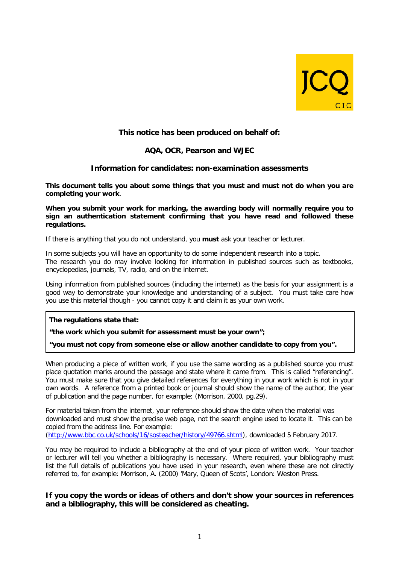

# **This notice has been produced on behalf of:**

## **AQA, OCR, Pearson and WJEC**

## **Information for candidates: non-examination assessments**

**This document tells you about some things that you must and must not do when you are completing your work**.

**When you submit your work for marking, the awarding body will normally require you to sign an authentication statement confirming that you have read and followed these regulations.**

If there is anything that you do not understand, you **must** ask your teacher or lecturer.

In some subjects you will have an opportunity to do some independent research into a topic. The research you do may involve looking for information in published sources such as textbooks, encyclopedias, journals, TV, radio, and on the internet.

Using information from published sources (including the internet) as the basis for your assignment is a good way to demonstrate your knowledge and understanding of a subject. You must take care how you use this material though - you cannot copy it and claim it as your own work.

**The regulations state that:**

**"the work which you submit for assessment must be your own";**

**"you must not copy from someone else or allow another candidate to copy from you".**

When producing a piece of written work, if you use the same wording as a published source you must place quotation marks around the passage and state where it came from. This is called "referencing". You must make sure that you give detailed references for everything in your work which is not in your own words. A reference from a printed book or journal should show the name of the author, the year of publication and the page number, for example: (Morrison, 2000, pg.29).

For material taken from the internet, your reference should show the date when the material was downloaded and must show the precise web page, not the search engine used to locate it. This can be copied from the address line. For example:

[\(http://www.bbc.co.uk/schools/16/sosteacher/history/49766.shtml\)](http://www.bbc.co.uk/schools/16/sosteacher/history/49766.shtml), downloaded 5 February 2017.

You may be required to include a bibliography at the end of your piece of written work. Your teacher or lecturer will tell you whether a bibliography is necessary. Where required, your bibliography must list the full details of publications you have used in your research, even where these are not directly referred to, for example: Morrison, A. (2000) 'Mary, Queen of Scots', London: Weston Press.

## **If you copy the words or ideas of others and don't show your sources in references and a bibliography, this will be considered as cheating.**